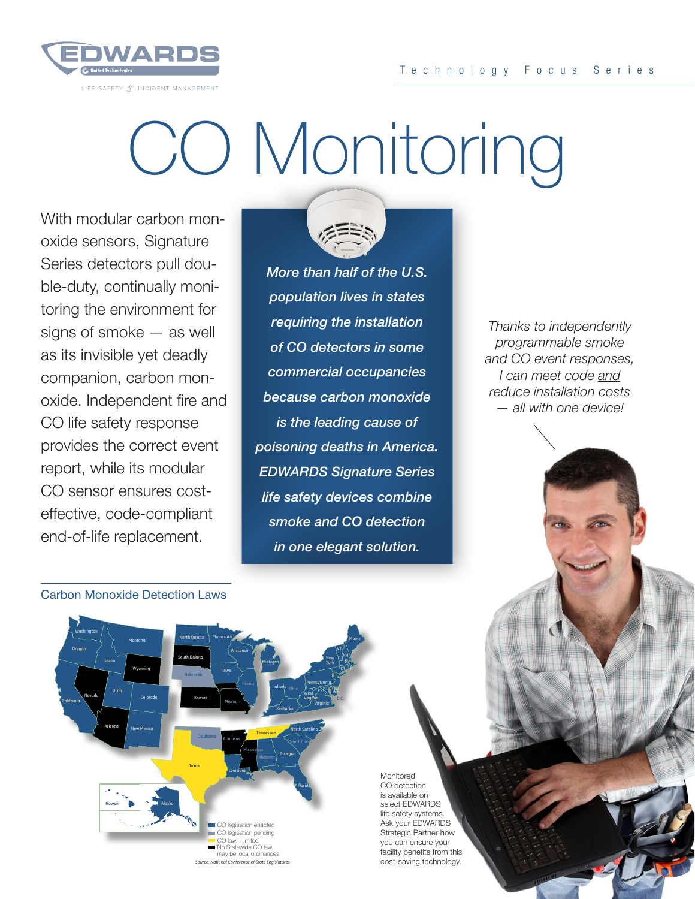

## CO Monitoring

With modular carbon monoxide sensors, Signature Series detectors pull double-duty, continually monitoring the environment for signs of smoke — as well as its invisible yet deadly companion, carbon monoxide. Independent fire and CO life safety response provides the correct event report, while its modular CO sensor ensures costeffective, code-compliant end-of-life replacement.



*More than half of the U.S. population lives in states requiring the installation of CO detectors in some commercial occupancies because carbon monoxide is the leading cause of poisoning deaths in America. EDWARDS Signature Series life safety devices combine smoke and CO detection in one elegant solution.*

*Thanks to independently programmable smoke and CO event responses, I can meet code and reduce installation costs — all with one device!*

Carbon Monoxide Detection Laws



Monitored CO detection is available on select EDWARDS life safety systems. Ask your EDWARDS Strategic Partner how you can ensure your facility benefits from this cost-saving technology.